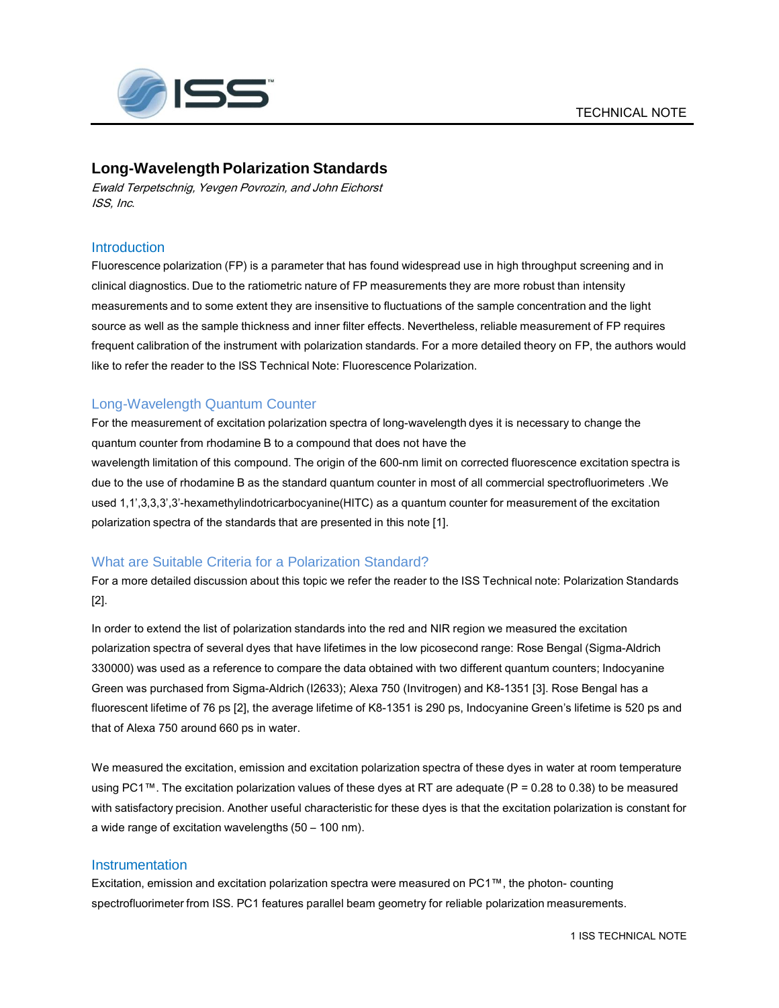

# **Long-Wavelength Polarization Standards**

Ewald Terpetschnig, Yevgen Povrozin, and John Eichorst ISS, Inc.

### **Introduction**

Fluorescence polarization (FP) is a parameter that has found widespread use in high throughput screening and in clinical diagnostics. Due to the ratiometric nature of FP measurements they are more robust than intensity measurements and to some extent they are insensitive to fluctuations of the sample concentration and the light source as well as the sample thickness and inner filter effects. Nevertheless, reliable measurement of FP requires frequent calibration of the instrument with polarization standards. For a more detailed theory on FP, the authors would like to refer the reader to the ISS Technical Note: Fluorescence Polarization.

## Long-Wavelength Quantum Counter

For the measurement of excitation polarization spectra of long-wavelength dyes it is necessary to change the quantum counter from rhodamine B to a compound that does not have the wavelength limitation of this compound. The origin of the 600-nm limit on corrected fluorescence excitation spectra is due to the use of rhodamine B as the standard quantum counter in most of all commercial spectrofluorimeters .We used 1,1',3,3,3',3'-hexamethylindotricarbocyanine(HITC) as a quantum counter for measurement of the excitation polarization spectra of the standards that are presented in this note [1].

### What are Suitable Criteria for a Polarization Standard?

For a more detailed discussion about this topic we refer the reader to the ISS Technical note: Polarization Standards [2].

In order to extend the list of polarization standards into the red and NIR region we measured the excitation polarization spectra of several dyes that have lifetimes in the low picosecond range: Rose Bengal (Sigma-Aldrich 330000) was used as a reference to compare the data obtained with two different quantum counters; Indocyanine Green was purchased from Sigma-Aldrich (I2633); Alexa 750 (Invitrogen) and K8-1351 [3]. Rose Bengal has a fluorescent lifetime of 76 ps [2], the average lifetime of K8-1351 is 290 ps, Indocyanine Green's lifetime is 520 ps and that of Alexa 750 around 660 ps in water.

We measured the excitation, emission and excitation polarization spectra of these dyes in water at room temperature using PC1™. The excitation polarization values of these dyes at RT are adequate ( $P = 0.28$  to 0.38) to be measured with satisfactory precision. Another useful characteristic for these dyes is that the excitation polarization is constant for a wide range of excitation wavelengths (50 – 100 nm).

### **Instrumentation**

Excitation, emission and excitation polarization spectra were measured on PC1™, the photon- counting spectrofluorimeter from ISS. PC1 features parallel beam geometry for reliable polarization measurements.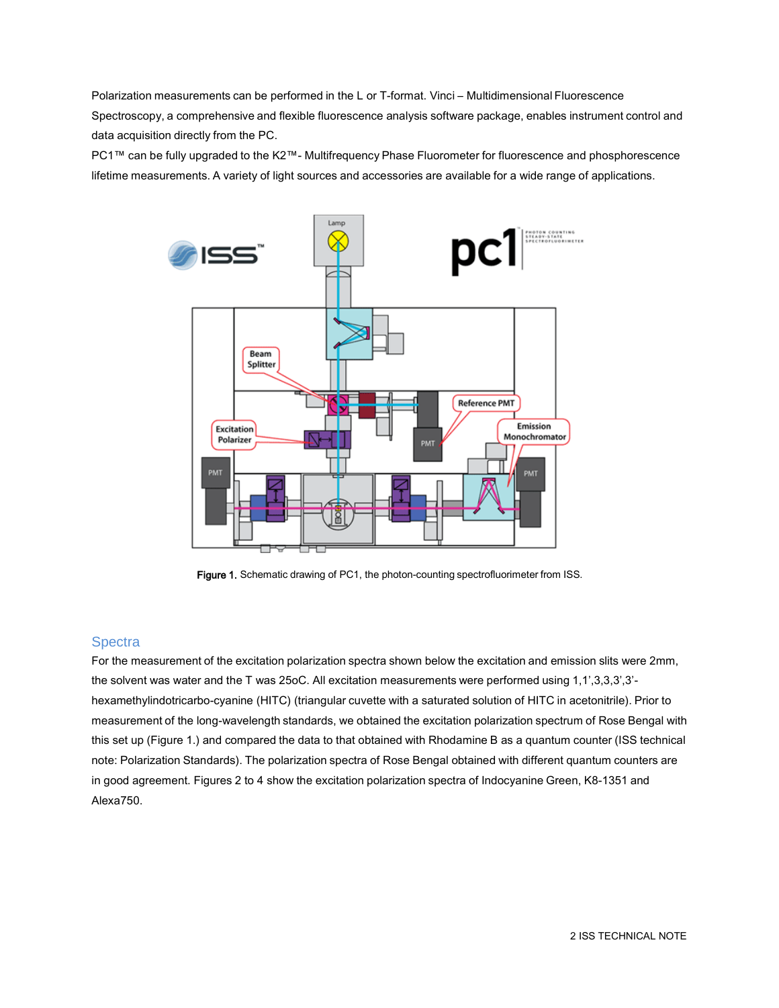Polarization measurements can be performed in the L or T-format. Vinci – Multidimensional Fluorescence Spectroscopy, a comprehensive and flexible fluorescence analysis software package, enables instrument control and data acquisition directly from the PC.

PC1™ can be fully upgraded to the K2™- Multifrequency Phase Fluorometer for fluorescence and phosphorescence lifetime measurements. A variety of light sources and accessories are available for a wide range of applications.



Figure 1. Schematic drawing of PC1, the photon-counting spectrofluorimeter from ISS.

### **Spectra**

For the measurement of the excitation polarization spectra shown below the excitation and emission slits were 2mm, the solvent was water and the T was 25oC. All excitation measurements were performed using 1,1',3,3,3',3' hexamethylindotricarbo-cyanine (HITC) (triangular cuvette with a saturated solution of HITC in acetonitrile). Prior to measurement of the long-wavelength standards, we obtained the excitation polarization spectrum of Rose Bengal with this set up (Figure 1.) and compared the data to that obtained with Rhodamine B as a quantum counter (ISS technical note: Polarization Standards). The polarization spectra of Rose Bengal obtained with different quantum counters are in good agreement. Figures 2 to 4 show the excitation polarization spectra of Indocyanine Green, K8-1351 and Alexa750.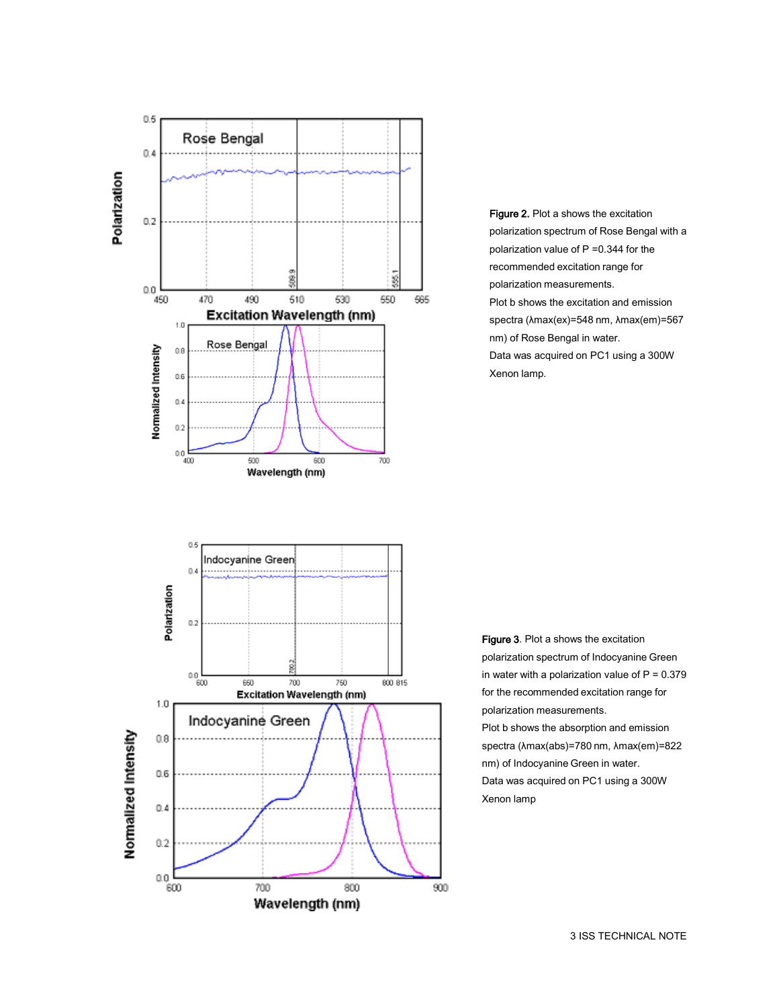

Figure 2. Plot a shows the excitation polarization spectrum of Rose Bengal with a polarization value of P =0.344 for the recommended excitation range for polarization measurements. Plot b shows the excitation and emission spectra (λmax(ex)=548 nm, λmax(em)=567 nm) of Rose Bengal in water. Data was acquired on PC1 using a 300W Xenon lamp.



Figure 3. Plot a shows the excitation polarization spectrum of Indocyanine Green in water with a polarization value of  $P = 0.379$ for the recommended excitation range for polarization measurements. Plot b shows the absorption and emission spectra (λmax(abs)=780 nm, λmax(em)=822 nm) of Indocyanine Green in water. Data was acquired on PC1 using a 300W Xenon lamp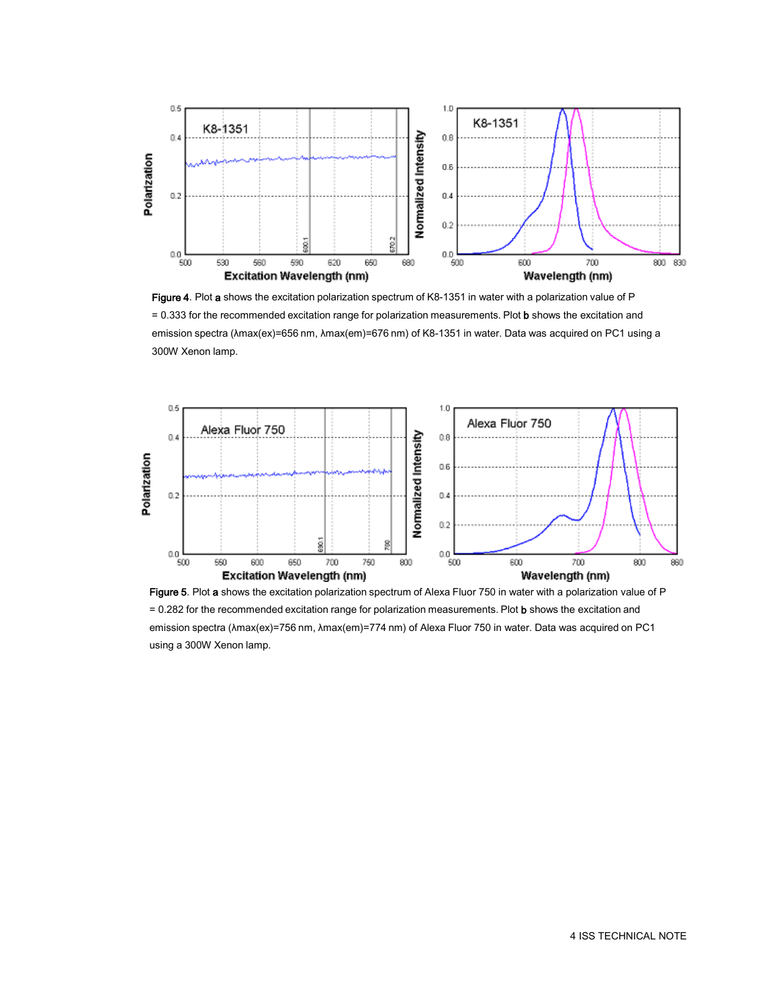

Figure 4. Plot a shows the excitation polarization spectrum of K8-1351 in water with a polarization value of P = 0.333 for the recommended excitation range for polarization measurements. Plot b shows the excitation and emission spectra (λmax(ex)=656 nm, λmax(em)=676 nm) of K8-1351 in water. Data was acquired on PC1 using a 300W Xenon lamp.



Figure 5. Plot a shows the excitation polarization spectrum of Alexa Fluor 750 in water with a polarization value of P = 0.282 for the recommended excitation range for polarization measurements. Plot b shows the excitation and emission spectra (λmax(ex)=756 nm, λmax(em)=774 nm) of Alexa Fluor 750 in water. Data was acquired on PC1 using a 300W Xenon lamp.